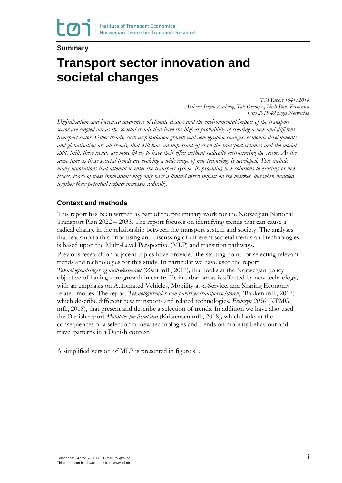#### **Summary**

# **Transport sector innovation and societal changes**

*TØI Report 1641/2018 Authors: Jørgen Aarhaug, Tale Ørving og Niels Buus Kristensen Oslo 2018 49 pages Norwegian*

*Digitalisation and increased awareness of climate change and the environmental impact of the transport sector are singled out as the societal trends that have the highest probability of creating a new and different transport sector. Other trends, such as population growth and demographic changes, economic developments and globalisation are all trends, that will have an important effect on the transport volumes and the modal split. Still, these trends are more likely to have their effect without radically restructuring the sector. At the same time as these societal trends are evolving a wide range of new technology is developed. This include many innovations that attempt to enter the transport system, by providing new solutions to existing or new issues. Each of these innovations may only have a limited direct impact on the market, but when bundled together their potential impact increases radically.* 

#### **Context and methods**

This report has been written as part of the preliminary work for the Norwegian National Transport Plan 2022 – 2033. The report focuses on identifying trends that can cause a radical change in the relationship between the transport system and society. The analyses that leads up to this prioritising and discussing of different societal trends and technologies is based upon the Multi-Level Perspective (MLP) and transition pathways.

Previous research on adjacent topics have provided the starting point for selecting relevant trends and technologies for this study. In particular we have used the report *Teknologiendringer og nullvekstmålet* (Østli mfl., 2017)*,* that looks at the Norwegian policy objective of having zero-growth in car traffic in urban areas is affected by new technology, with an emphasis on Automated Vehicles, Mobility-as-a-Service, and Sharing Economy related modes. The report *Teknologitrender som påvirker transportsektoren*, (Bakken mfl., 2017) which describe different new transport- and related technologies. *Fremsyn 2050* (KPMG mfl., 2018), that present and describe a selection of trends. In addition we have also used the Danish report *Mobilitet for fremtiden* (Kristensen mfl., 2018)*,* which looks at the consequences of a selection of new technologies and trends on mobility behaviour and travel patterns in a Danish context.

A simplified version of MLP is presented in figure s1.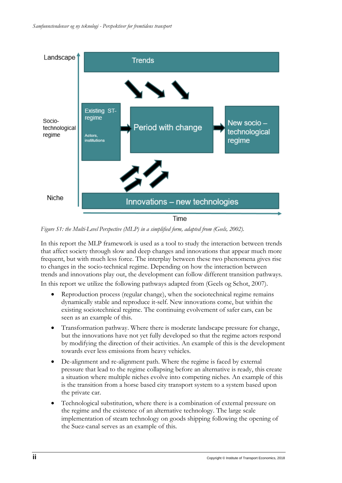

*Figure S1: the Multi-Level Perspective (MLP) in a simplified form, adapted from (Geels, 2002).* 

In this report the MLP framework is used as a tool to study the interaction between trends that affect society through slow and deep changes and innovations that appear much more frequent, but with much less force. The interplay between these two phenomena gives rise to changes in the socio-technical regime. Depending on how the interaction between trends and innovations play out, the development can follow different transition pathways. In this report we utilize the following pathways adapted from (Geels og Schot, 2007).

- Reproduction process (regular change), when the sociotechnical regime remains dynamically stable and reproduce it-self. New innovations come, but within the existing sociotechnical regime. The continuing evolvement of safer cars, can be seen as an example of this.
- Transformation pathway. Where there is moderate landscape pressure for change, but the innovations have not yet fully developed so that the regime actors respond by modifying the direction of their activities. An example of this is the development towards ever less emissions from heavy vehicles.
- De-alignment and re-alignment path. Where the regime is faced by external pressure that lead to the regime collapsing before an alternative is ready, this create a situation where multiple niches evolve into competing niches. An example of this is the transition from a horse based city transport system to a system based upon the private car.
- Technological substitution, where there is a combination of external pressure on the regime and the existence of an alternative technology. The large scale implementation of steam technology on goods shipping following the opening of the Suez-canal serves as an example of this.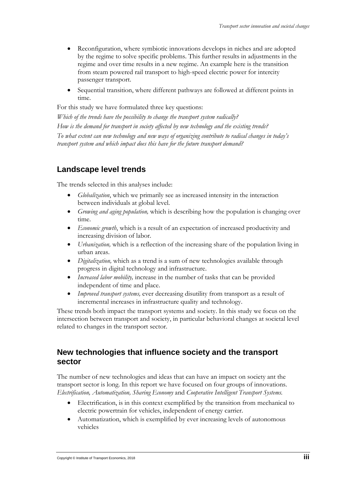- Reconfiguration, where symbiotic innovations develops in niches and are adopted by the regime to solve specific problems. This further results in adjustments in the regime and over time results in a new regime. An example here is the transition from steam powered rail transport to high-speed electric power for intercity passenger transport.
- Sequential transition, where different pathways are followed at different points in time.

For this study we have formulated three key questions:

*Which of the trends have the possibility to change the transport system radically? How is the demand for transport in society affected by new technology and the existing trends? To what extent can new technology and new ways of organizing contribute to radical changes in today's transport system and which impact does this have for the future transport demand?*

# **Landscape level trends**

The trends selected in this analyses include:

- *Globalization*, which we primarily see as increased intensity in the interaction between individuals at global level.
- *Growing and aging population,* which is describing how the population is changing over time.
- *Economic growth*, which is a result of an expectation of increased productivity and increasing division of labor.
- *Urbanization*, which is a reflection of the increasing share of the population living in urban areas.
- *Digitalization,* which as a trend is a sum of new technologies available through progress in digital technology and infrastructure.
- *Increased labor mobility,* increase in the number of tasks that can be provided independent of time and place.
- *Improved transport systems,* ever decreasing disutility from transport as a result of incremental increases in infrastructure quality and technology.

These trends both impact the transport systems and society. In this study we focus on the intersection between transport and society, in particular behavioral changes at societal level related to changes in the transport sector.

#### **New technologies that influence society and the transport sector**

The number of new technologies and ideas that can have an impact on society ant the transport sector is long. In this report we have focused on four groups of innovations. *Electrification, Automatization, Sharing Economy* and *Cooperative Intelligent Transport Systems.* 

- Electrification, is in this context exemplified by the transition from mechanical to electric powertrain for vehicles, independent of energy carrier.
- Automatization, which is exemplified by ever increasing levels of autonomous vehicles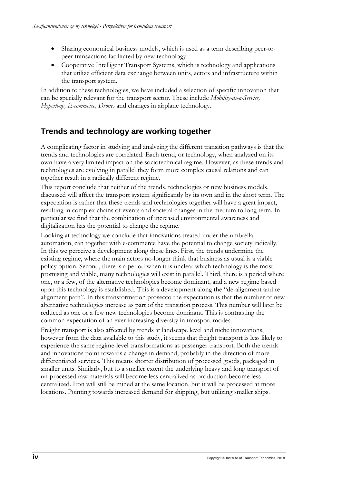- Sharing economical business models, which is used as a term describing peer-topeer transactions facilitated by new technology.
- Cooperative Intelligent Transport Systems, which is technology and applications that utilize efficient data exchange between units, actors and infrastructure within the transport system.

In addition to these technologies, we have included a selection of specific innovation that can be specially relevant for the transport sector. These include *Mobility-as-a-Service, Hyperloop, E-commerce, Drones* and changes in airplane technology.

# **Trends and technology are working together**

A complicating factor in studying and analyzing the different transition pathways is that the trends and technologies are correlated. Each trend, or technology, when analyzed on its own have a very limited impact on the sociotechnical regime. However, as these trends and technologies are evolving in parallel they form more complex causal relations and can together result in a radically different regime.

This report conclude that neither of the trends, technologies or new business models, discussed will affect the transport system significantly by its own and in the short term. The expectation is rather that these trends and technologies together will have a great impact, resulting in complex chains of events and societal changes in the medium to long term. In particular we find that the combination of increased environmental awareness and digitalization has the potential to change the regime.

Looking at technology we conclude that innovations treated under the umbrella automation, can together with e-commerce have the potential to change society radically. In this we perceive a development along these lines. First, the trends undermine the existing regime, where the main actors no-longer think that business as usual is a viable policy option. Second, there is a period when it is unclear which technology is the most promising and viable, many technologies will exist in parallel. Third, there is a period where one, or a few, of the alternative technologies become dominant, and a new regime based upon this technology is established. This is a development along the "de-alignment and re alignment path". In this transformation prosecco the expectation is that the number of new alternative technologies increase as part of the transition process. This number will later be reduced as one or a few new technologies become dominant. This is contrasting the common expectation of an ever increasing diversity in transport modes.

Freight transport is also affected by trends at landscape level and niche innovations, however from the data available to this study, it seems that freight transport is less likely to experience the same regime-level transformations as passenger transport. Both the trends and innovations point towards a change in demand, probably in the direction of more differentiated services. This means shorter distribution of processed goods, packaged in smaller units. Similarly, but to a smaller extent the underlying heavy and long transport of un-processed raw materials will become less centralized as production become less centralized. Iron will still be mined at the same location, but it will be processed at more locations. Pointing towards increased demand for shipping, but utilizing smaller ships.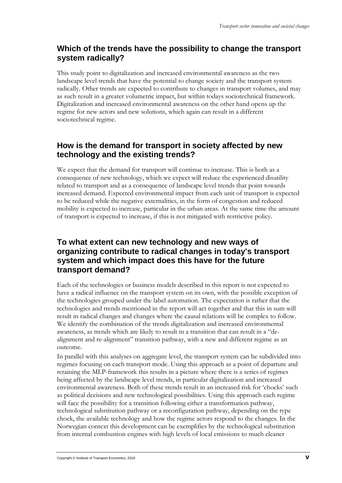# **Which of the trends have the possibility to change the transport system radically?**

This study point to digitalization and increased environmental awareness as the two landscape level trends that have the potential to change society and the transport system radically. Other trends are expected to contribute to changes in transport volumes, and may as such result in a greater volumetric impact, but within todays sociotechnical framework. Digitalization and increased environmental awareness on the other hand opens up the regime for new actors and new solutions, which again can result in a different sociotechnical regime.

## **How is the demand for transport in society affected by new technology and the existing trends?**

We expect that the demand for transport will continue to increase. This is both as a consequence of new technology, which we expect will reduce the experienced disutility related to transport and as a consequence of landscape level trends that point towards increased demand. Expected environmental impact from each unit of transport is expected to be reduced while the negative externalities, in the form of congestion and reduced mobility is expected to increase, particular in the urban areas. At the same time the amount of transport is expected to increase, if this is not mitigated with restrictive policy.

## **To what extent can new technology and new ways of organizing contribute to radical changes in today's transport system and which impact does this have for the future transport demand?**

Each of the technologies or business models described in this report is not expected to have a radical influence on the transport system on its own, with the possible exception of the technologies grouped under the label automation. The expectation is rather that the technologies and trends mentioned in the report will act together and that this in sum will result in radical changes and changes where the causal relations will be complex to follow. We identify the combination of the trends digitalization and increased environmental awareness, as trends which are likely to result in a transition that can result in a "dealignment and re-alignment" transition pathway, with a new and different regime as an outcome.

In parallel with this analyses on aggregate level, the transport system can be subdivided into regimes focusing on each transport mode. Using this approach as a point of departure and retaining the MLP-framework this results in a picture where there is a series of regimes being affected by the landscape level trends, in particular digitalization and increased environmental awareness. Both of these trends result in an increased risk for 'chocks' such as political decisions and new technological possibilities. Using this approach each regime will face the possibility for a transition following either a transformation pathway, technological substitution pathway or a reconfiguration pathway, depending on the type chock, the available technology and how the regime actors respond to the changes. In the Norwegian context this development can be exemplifies by the technological substitution from internal combustion engines with high levels of local emissions to much cleaner